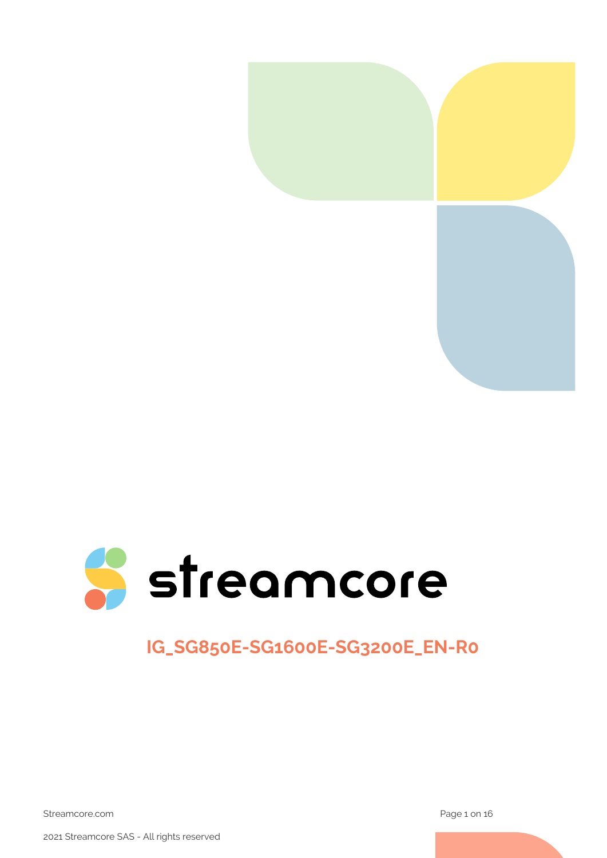



# **IG\_SG850E-SG1600E-SG3200E\_EN-R0**

Streamcore.com **Page 1 on 16** 

2021 Streamcore SAS - All rights reserved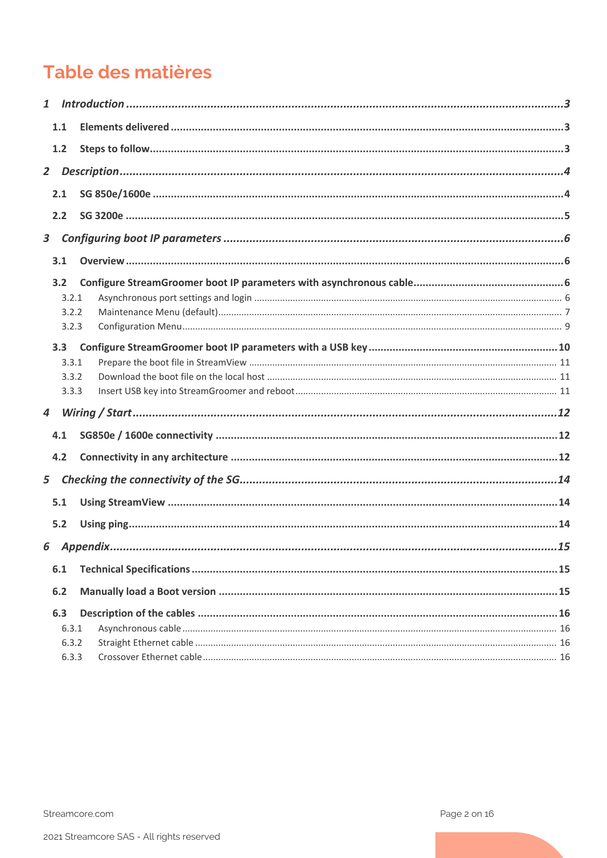# Table des matières

| $\mathbf{1}$     |                |  |
|------------------|----------------|--|
|                  | 1.1            |  |
|                  | 1.2            |  |
| $\mathbf{2}$     |                |  |
|                  | 2.1            |  |
|                  | 2.2            |  |
| $\mathbf{3}$     |                |  |
|                  | 3.1            |  |
|                  |                |  |
|                  | 3.2            |  |
|                  | 3.2.1<br>3.2.2 |  |
|                  | 3.2.3          |  |
|                  |                |  |
|                  | 3.3<br>3.3.1   |  |
|                  | 3.3.2          |  |
|                  | 3.3.3          |  |
| $\boldsymbol{4}$ |                |  |
|                  | 4.1            |  |
|                  | 4.2            |  |
|                  |                |  |
| 5                |                |  |
|                  | 5.1            |  |
|                  | 5.2            |  |
| 6                |                |  |
|                  | 6.1            |  |
|                  | 6.2            |  |
|                  |                |  |
|                  | 6.3<br>6.3.1   |  |
|                  | 6.3.2          |  |
|                  | 6.3.3          |  |
|                  |                |  |

Streamcore.com

Page 2 on 16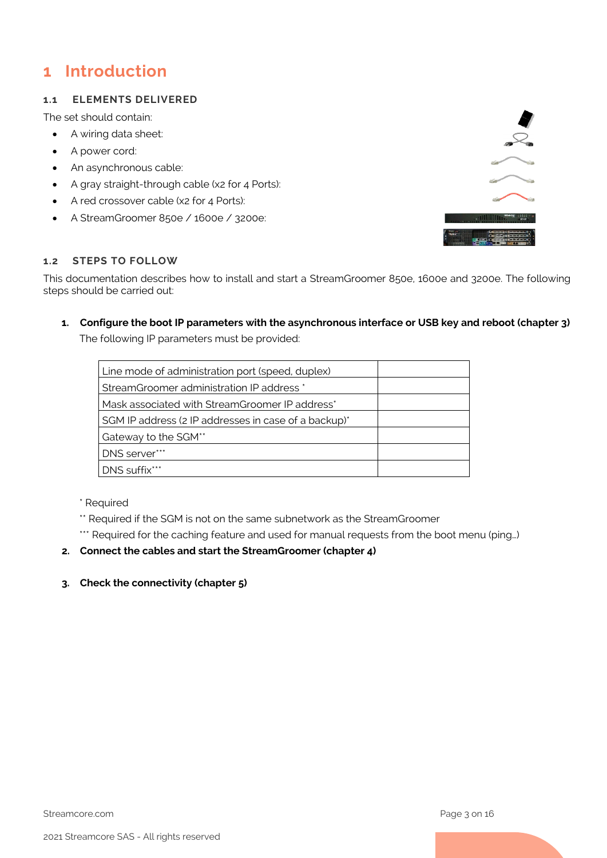## <span id="page-2-0"></span>**1 Introduction**

### <span id="page-2-1"></span>**1.1 ELEMENTS DELIVERED**

The set should contain:

- A wiring data sheet:
- A power cord:
- An asynchronous cable:
- A gray straight-through cable (x2 for 4 Ports):
- A red crossover cable (x2 for 4 Ports):
- A StreamGroomer 850e / 1600e / 3200e:



### <span id="page-2-2"></span>**1.2 STEPS TO FOLLOW**

This documentation describes how to install and start a StreamGroomer 850e, 1600e and 3200e. The following steps should be carried out:

#### **1. Configure the boot IP parameters with the asynchronous interface or USB key and reboot (chapter 3)**

The following IP parameters must be provided:

| Line mode of administration port (speed, duplex)     |  |
|------------------------------------------------------|--|
| StreamGroomer administration IP address *            |  |
| Mask associated with StreamGroomer IP address*       |  |
| SGM IP address (2 IP addresses in case of a backup)* |  |
| Gateway to the SGM**                                 |  |
| DNS server***                                        |  |
| DNS suffix***                                        |  |

\* Required

- \*\* Required if the SGM is not on the same subnetwork as the StreamGroomer
- \*\*\* Required for the caching feature and used for manual requests from the boot menu (ping...)

### **2. Connect the cables and start the StreamGroomer (chapter 4)**

**3. Check the connectivity (chapter 5)**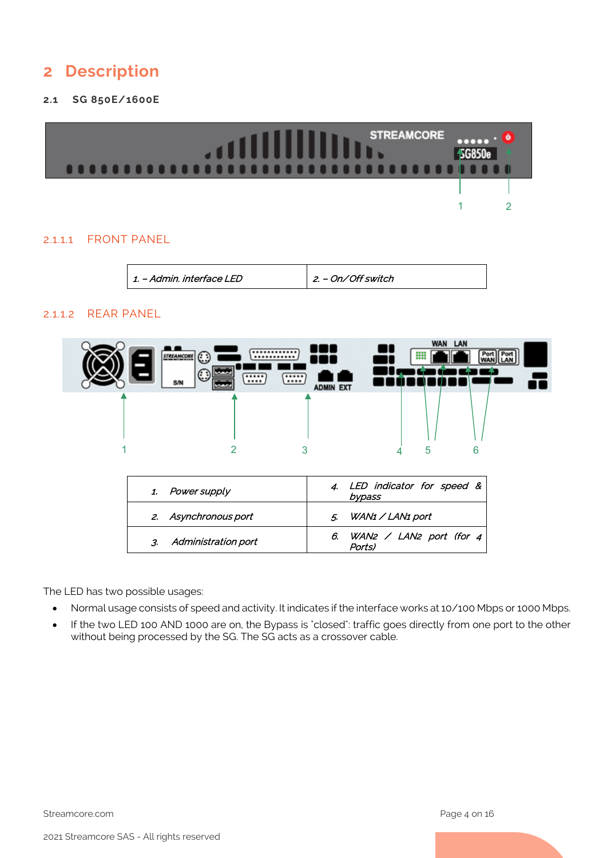## <span id="page-3-0"></span>**2 Description**

### <span id="page-3-1"></span>**2.1 SG 850E/1600E**



### 2.1.1.1 FRONT PANEL

1. – Admin. interface LED 2. – On/Off switch

### 2.1.1.2 REAR PANEL



| 2. Asynchronous port | 5. WAN1 / LAN1 port                         |
|----------------------|---------------------------------------------|
| Administration port  | 6. WAN2 / LAN2 port (for $4 \mid$<br>Ports) |

The LED has two possible usages:

- Normal usage consists of speed and activity. It indicates if the interface works at 10/100 Mbps or 1000 Mbps.
- If the two LED 100 AND 1000 are on, the Bypass is "closed": traffic goes directly from one port to the other without being processed by the SG. The SG acts as a crossover cable.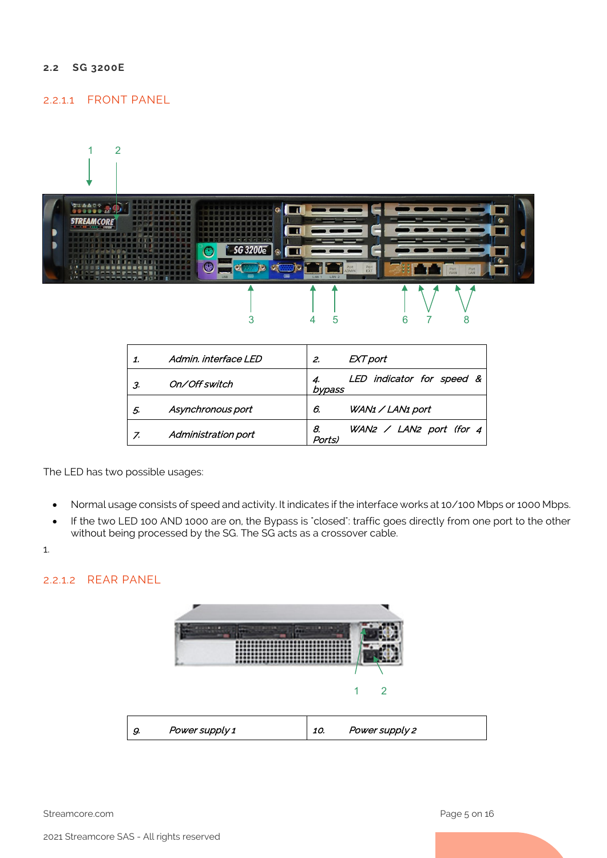#### <span id="page-4-0"></span>**2.2 SG 3200E**

### 2.2.1.1 FRONT PANEL



|    | Admin, interface LED | 2.           | EXT port                       |
|----|----------------------|--------------|--------------------------------|
| 3. | On/Off switch        | bypass       | LED indicator for speed &      |
| 5. | Asynchronous port    | 6.           | WAN1 / LAN1 port               |
| 7. | Administration port  | 8.<br>Ports) | WAN2 $\angle$ LAN2 port (for 4 |

The LED has two possible usages:

- Normal usage consists of speed and activity. It indicates if the interface works at 10/100 Mbps or 1000 Mbps.
- If the two LED 100 AND 1000 are on, the Bypass is "closed": traffic goes directly from one port to the other without being processed by the SG. The SG acts as a crossover cable.
- 1.

### 2.2.1.2 REAR PANEL



Streamcore.com **Page 5 on 16**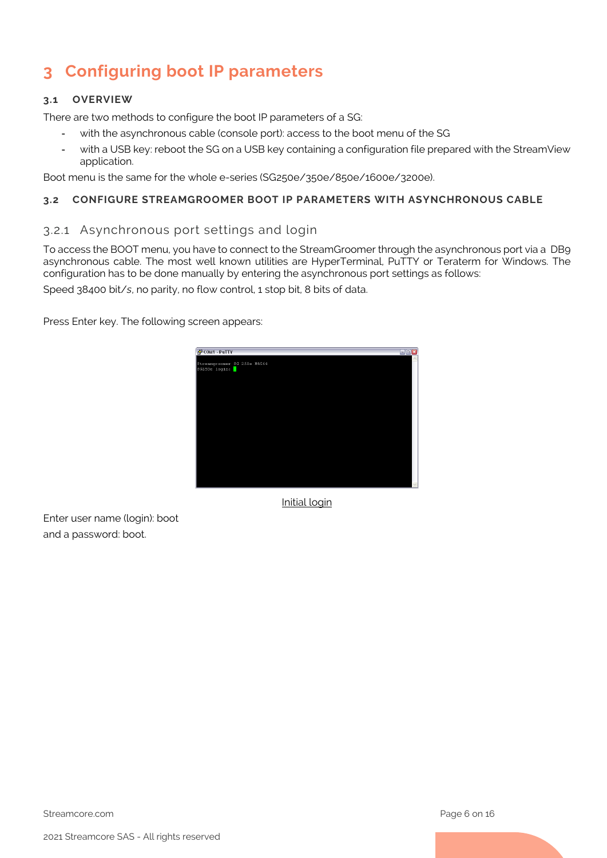# <span id="page-5-0"></span>**3 Configuring boot IP parameters**

### <span id="page-5-1"></span>**3.1 OVERVIEW**

There are two methods to configure the boot IP parameters of a SG:

- with the asynchronous cable (console port): access to the boot menu of the SG
- with a USB key: reboot the SG on a USB key containing a configuration file prepared with the StreamView application.

Boot menu is the same for the whole e-series (SG250e/350e/850e/1600e/3200e).

### <span id="page-5-3"></span><span id="page-5-2"></span>**3.2 CONFIGURE STREAMGROOMER BOOT IP PARAMETERS WITH ASYNCHRONOUS CABLE**

### 3.2.1 Asynchronous port settings and login

To access the BOOT menu, you have to connect to the StreamGroomer through the asynchronous port via a DB9 asynchronous cable. The most well known utilities are HyperTerminal, PuTTY or Teraterm for Windows. The configuration has to be done manually by entering the asynchronous port settings as follows:

Speed 38400 bit/*s*, no parity, no flow control, 1 stop bit, 8 bits of data.

Press Enter key. The following screen appears:



Initial login

Enter user name (login): boot and a password: boot.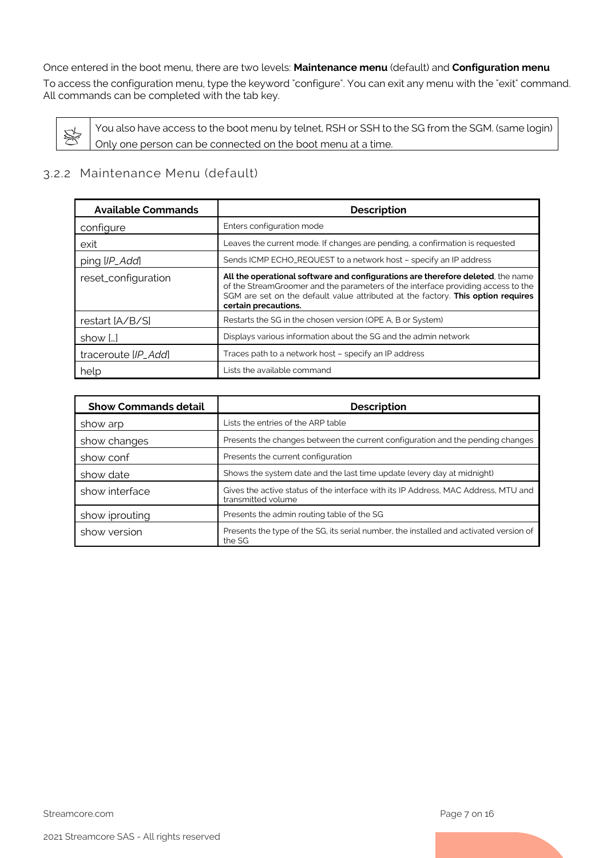#### Once entered in the boot menu, there are two levels: **Maintenance menu** (default) and **Configuration menu**

To access the configuration menu, type the keyword "configure". You can exit any menu with the "exit" command. All commands can be completed with the tab key.

You also have access to the boot menu by telnet, RSH or SSH to the SG from the SGM. (same login) S Only one person can be connected on the boot menu at a time.

### <span id="page-6-0"></span>3.2.2 Maintenance Menu (default)

| <b>Available Commands</b> | <b>Description</b>                                                                                                                                                                                                                                                              |
|---------------------------|---------------------------------------------------------------------------------------------------------------------------------------------------------------------------------------------------------------------------------------------------------------------------------|
| configure                 | Enters configuration mode                                                                                                                                                                                                                                                       |
| exit                      | Leaves the current mode. If changes are pending, a confirmation is requested                                                                                                                                                                                                    |
| ping [IP_Add]             | Sends ICMP ECHO_REQUEST to a network host - specify an IP address                                                                                                                                                                                                               |
| reset_configuration       | All the operational software and configurations are therefore deleted, the name<br>of the StreamGroomer and the parameters of the interface providing access to the<br>SGM are set on the default value attributed at the factory. This option requires<br>certain precautions. |
| restart [A/B/S]           | Restarts the SG in the chosen version (OPE A, B or System)                                                                                                                                                                                                                      |
| show []                   | Displays various information about the SG and the admin network                                                                                                                                                                                                                 |
| traceroute [IP_Add]       | Traces path to a network host - specify an IP address                                                                                                                                                                                                                           |
| help                      | Lists the available command                                                                                                                                                                                                                                                     |

| <b>Show Commands detail</b> | <b>Description</b>                                                                                       |
|-----------------------------|----------------------------------------------------------------------------------------------------------|
| show arp                    | Lists the entries of the ARP table                                                                       |
| show changes                | Presents the changes between the current configuration and the pending changes                           |
| show conf                   | Presents the current configuration                                                                       |
| show date                   | Shows the system date and the last time update (every day at midnight)                                   |
| show interface              | Gives the active status of the interface with its IP Address, MAC Address, MTU and<br>transmitted volume |
| show iprouting              | Presents the admin routing table of the SG                                                               |
| show version                | Presents the type of the SG, its serial number, the installed and activated version of<br>the SG         |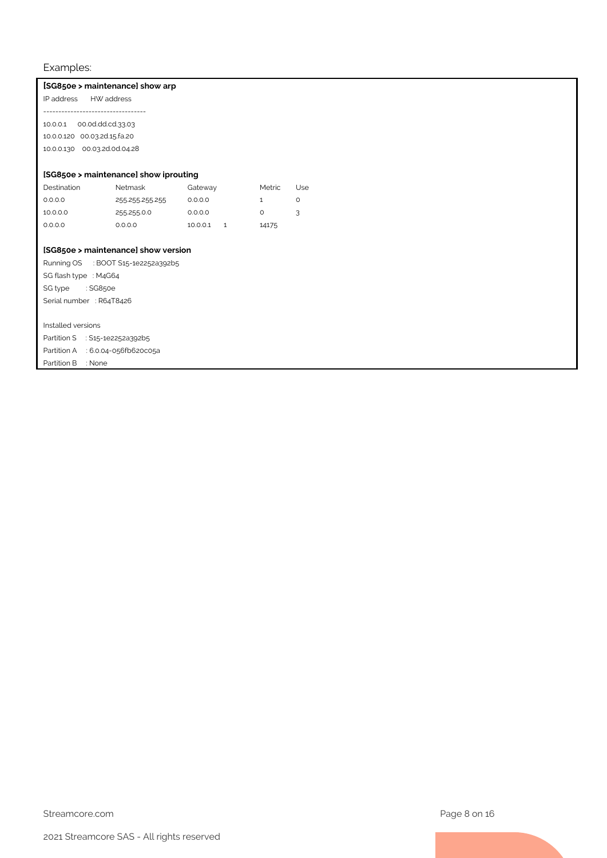#### Examples:

#### **[SG850e > maintenance] show arp**

IP address HW address ---------------------------------- 10.0.0.1 00.0d.dd.cd.33.03

10.0.0.120 00.03.2d.15.fa.20 10.0.0.130 00.03.2d.0d.04.28

#### **[SG850e > maintenance] show iprouting**

| Destination | Netmask         | Gateway  | Metric | Jse      |
|-------------|-----------------|----------|--------|----------|
| 0.0.0.0     | 255 255 255 255 | 0.0.0.0  |        | $\Omega$ |
| 10.0.0.0    | 255 255 0.0     | 0.0.0.0  |        | 3        |
| 0.0.0.0     | 0.0.0.0         | 10.0.0.1 | 14175  |          |

### **[SG850e > maintenance] show version**

Running OS : BOOT S15-1e2252a392b5 SG flash type : M4G64 SG type : SG850e Serial number : R64T8426

#### Installed versions

Partition S : S15-1e2252a392b5 Partition A : 6.0.04-056fb620c05a Partition B : None

Streamcore.com **Page 8 on 16**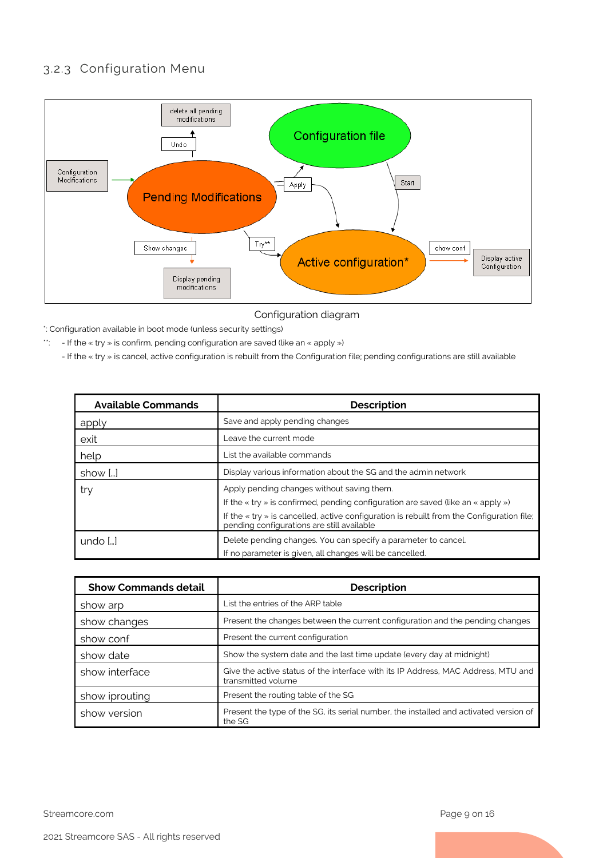### <span id="page-8-0"></span>3.2.3 Configuration Menu



Configuration diagram

\*: Configuration available in boot mode (unless security settings)

\*\*: - If the « try » is confirm, pending configuration are saved (like an « apply »)

- If the « try » is cancel, active configuration is rebuilt from the Configuration file; pending configurations are still available

| <b>Available Commands</b> | <b>Description</b>                                                                                                                              |
|---------------------------|-------------------------------------------------------------------------------------------------------------------------------------------------|
| apply                     | Save and apply pending changes                                                                                                                  |
| exit                      | Leave the current mode                                                                                                                          |
| help                      | List the available commands                                                                                                                     |
| show []                   | Display various information about the SG and the admin network                                                                                  |
| try                       | Apply pending changes without saving them.                                                                                                      |
|                           | If the $\ll$ try » is confirmed, pending configuration are saved (like an $\ll$ apply »)                                                        |
|                           | If the $\ll$ try $\gg$ is cancelled, active configuration is rebuilt from the Configuration file;<br>pending configurations are still available |
| undo $[]$                 | Delete pending changes. You can specify a parameter to cancel.                                                                                  |
|                           | If no parameter is given, all changes will be cancelled.                                                                                        |

| <b>Show Commands detail</b> | <b>Description</b>                                                                                      |
|-----------------------------|---------------------------------------------------------------------------------------------------------|
| show arp                    | List the entries of the ARP table                                                                       |
| show changes                | Present the changes between the current configuration and the pending changes                           |
| show conf                   | Present the current configuration                                                                       |
| show date                   | Show the system date and the last time update (every day at midnight)                                   |
| show interface              | Give the active status of the interface with its IP Address, MAC Address, MTU and<br>transmitted volume |
| show iprouting              | Present the routing table of the SG                                                                     |
| show version                | Present the type of the SG, its serial number, the installed and activated version of<br>the SG         |

Streamcore.com **Page 9 on 16**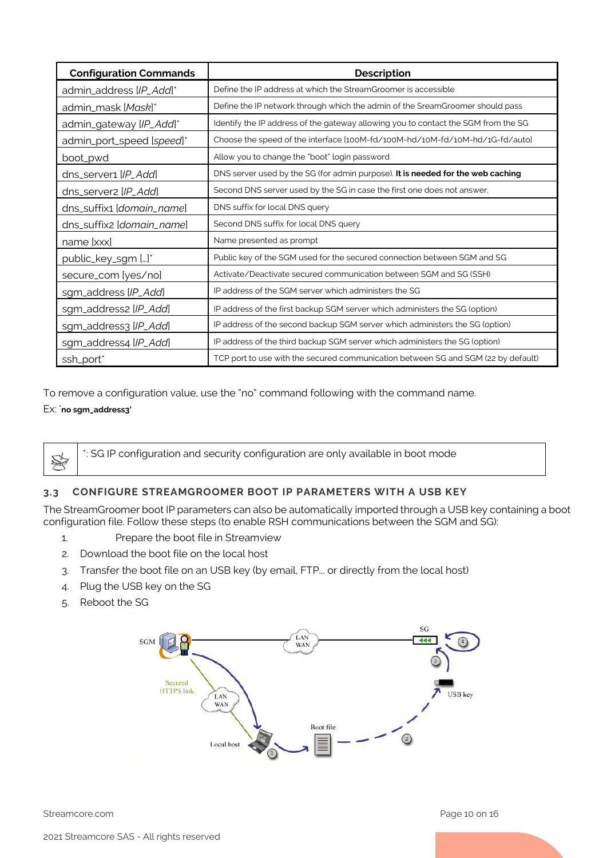| <b>Configuration Commands</b> | <b>Description</b>                                                                 |
|-------------------------------|------------------------------------------------------------------------------------|
| admin_address [IP_Add]*       | Define the IP address at which the StreamGroomer is accessible                     |
| admin_mask [Mask]*            | Define the IP network through which the admin of the SreamGroomer should pass      |
| admin_gateway [IP_Add]*       | Identify the IP address of the gateway allowing you to contact the SGM from the SG |
| admin_port_speed [speed]*     | Choose the speed of the interface [100M-fd/100M-hd/10M-fd/10M-hd/1G-fd/auto]       |
| boot_pwd                      | Allow you to change the "boot" login password                                      |
| dns_server1 [IP_Add]          | DNS server used by the SG (for admin purpose). It is needed for the web caching    |
| dns_server2 [IP_Add]          | Second DNS server used by the SG in case the first one does not answer.            |
| dns_suffix1 [domain_name]     | DNS suffix for local DNS query                                                     |
| dns_suffix2 [domain_name]     | Second DNS suffix for local DNS query                                              |
| name [xxx]                    | Name presented as prompt                                                           |
| public_key_sgm []*            | Public key of the SGM used for the secured connection between SGM and SG           |
| secure_com [yes/no]           | Activate/Deactivate secured communication between SGM and SG (SSH)                 |
| sgm_address [IP_Add]          | IP address of the SGM server which administers the SG                              |
| sgm_address2 [IP_Add]         | IP address of the first backup SGM server which administers the SG (option)        |
| sgm_address3 [IP_Add]         | IP address of the second backup SGM server which administers the SG (option)       |
| sgm_address4 [IP_Add]         | IP address of the third backup SGM server which administers the SG (option)        |
| ssh_port*                     | TCP port to use with the secured communication between SG and SGM (22 by default)  |

To remove a configuration value, use the "no" command following with the command name. Ex: '**no sgm\_address3'**

\*: SG IP configuration and security configuration are only available in boot mode

### <span id="page-9-0"></span>**3.3 CONFIGURE STREAMGROOMER BOOT IP PARAMETERS WITH A USB KEY**

The StreamGroomer boot IP parameters can also be automatically imported through a USB key containing a boot configuration file. Follow these steps (to enable RSH communications between the SGM and SG):

- 1. Prepare the boot file in Streamview
- 2. Download the boot file on the local host
- 3. Transfer the boot file on an USB key (by email, FTP... or directly from the local host)
- 4. Plug the USB key on the SG
- 5. Reboot the SG

☀



Streamcore.com **Page 10 on 16**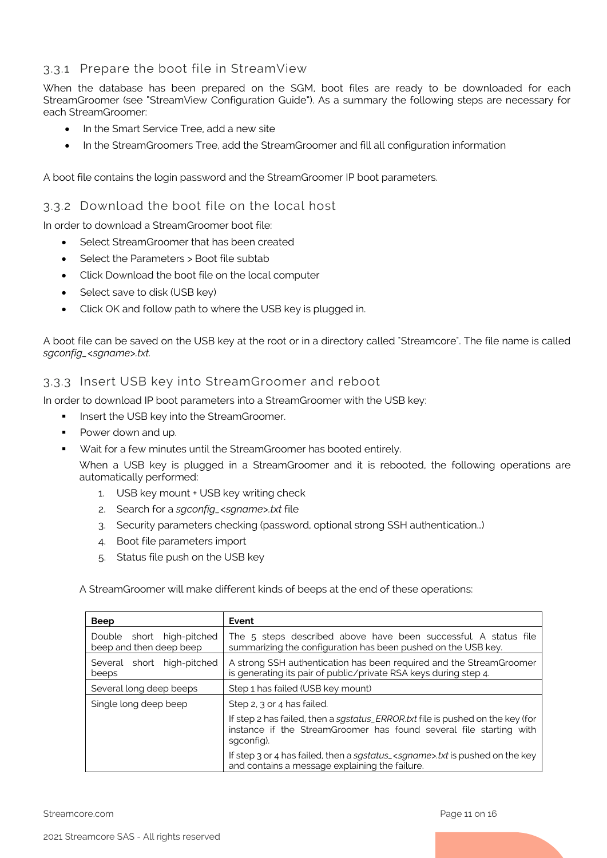### <span id="page-10-0"></span>3.3.1 Prepare the boot file in StreamView

When the database has been prepared on the SGM, boot files are ready to be downloaded for each StreamGroomer (see "StreamView Configuration Guide"). As a summary the following steps are necessary for each StreamGroomer:

- In the Smart Service Tree, add a new site
- In the StreamGroomers Tree, add the StreamGroomer and fill all configuration information

#### <span id="page-10-1"></span>A boot file contains the login password and the StreamGroomer IP boot parameters.

### 3.3.2 Download the boot file on the local host

In order to download a StreamGroomer boot file:

- Select StreamGroomer that has been created
- Select the Parameters > Boot file subtab
- Click Download the boot file on the local computer
- Select save to disk (USB key)
- Click OK and follow path to where the USB key is plugged in.

A boot file can be saved on the USB key at the root or in a directory called "Streamcore". The file name is called *sgconfig\_<sgname>.txt.*

### <span id="page-10-2"></span>3.3.3 Insert USB key into StreamGroomer and reboot

In order to download IP boot parameters into a StreamGroomer with the USB key:

- **Insert the USB key into the StreamGroomer.**
- Power down and up.
- Wait for a few minutes until the StreamGroomer has booted entirely.

When a USB key is plugged in a StreamGroomer and it is rebooted, the following operations are automatically performed:

- 1. USB key mount + USB key writing check
- 2. Search for a *sgconfig\_<sgname>.txt* file
- 3. Security parameters checking (password, optional strong SSH authentication…)
- 4. Boot file parameters import
- 5. Status file push on the USB key

A StreamGroomer will make different kinds of beeps at the end of these operations:

| <b>Beep</b>                                          | Event                                                                                                                                                              |  |
|------------------------------------------------------|--------------------------------------------------------------------------------------------------------------------------------------------------------------------|--|
| Double short high-pitched<br>beep and then deep beep | The 5 steps described above have been successful. A status file<br>summarizing the configuration has been pushed on the USB key.                                   |  |
| Several short high-pitched<br>beeps                  | A strong SSH authentication has been required and the StreamGroomer<br>is generating its pair of public/private RSA keys during step 4.                            |  |
| Several long deep beeps                              | Step 1 has failed (USB key mount)                                                                                                                                  |  |
| Single long deep beep                                | Step 2, 3 or 4 has failed.                                                                                                                                         |  |
|                                                      | If step 2 has failed, then a sgstatus_ERROR.txt file is pushed on the key (for<br>instance if the StreamGroomer has found several file starting with<br>saconfia). |  |
|                                                      | If step 3 or 4 has failed, then a sgstatus_ <sgname>.txt is pushed on the key<br/>and contains a message explaining the failure.</sgname>                          |  |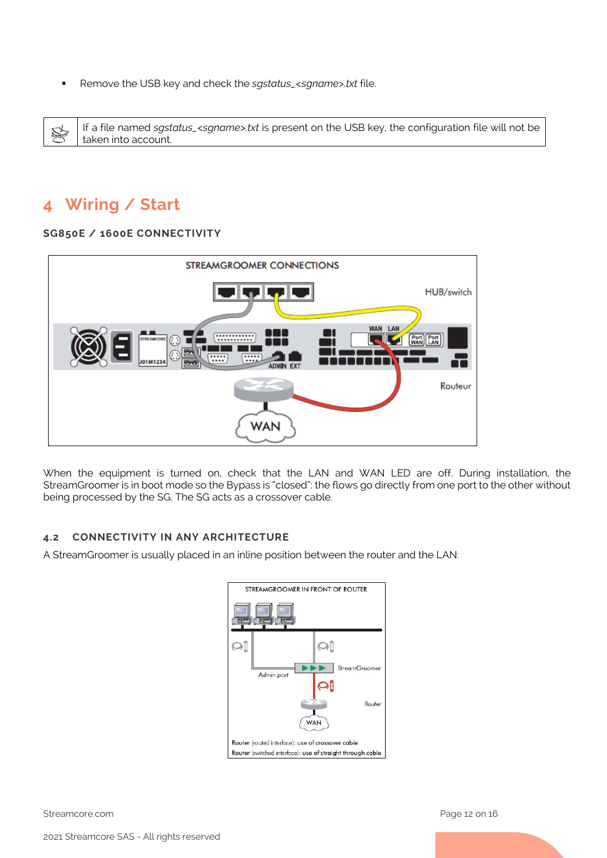Remove the USB key and check the *sgstatus\_<sgname>.txt* file.

If a file named *sgstatus\_<sgname>.txt* is present on the USB key, the configuration file will not be S taken into account.

## <span id="page-11-0"></span>**4 Wiring / Start**

#### <span id="page-11-1"></span>**SG850E / 1600E CONNECTIVITY**



When the equipment is turned on, check that the LAN and WAN LED are off. During installation, the StreamGroomer is in boot mode so the Bypass is "closed": the flows go directly from one port to the other without being processed by the SG. The SG acts as a crossover cable.

#### <span id="page-11-2"></span>**4.2 CONNECTIVITY IN ANY ARCHITECTURE**

A StreamGroomer is usually placed in an inline position between the router and the LAN:

| STREAMGROOMER IN FRONT OF ROUTER                                                                                |  |  |  |  |  |
|-----------------------------------------------------------------------------------------------------------------|--|--|--|--|--|
|                                                                                                                 |  |  |  |  |  |
| Q                                                                                                               |  |  |  |  |  |
| <b>StreamGroomer</b><br>Admin port                                                                              |  |  |  |  |  |
| Router<br><b>WAN</b>                                                                                            |  |  |  |  |  |
| Router (routed interface): use of crossover cable<br>Router (switched interface): use of straight through cable |  |  |  |  |  |

Streamcore.com **Page 12 on 16**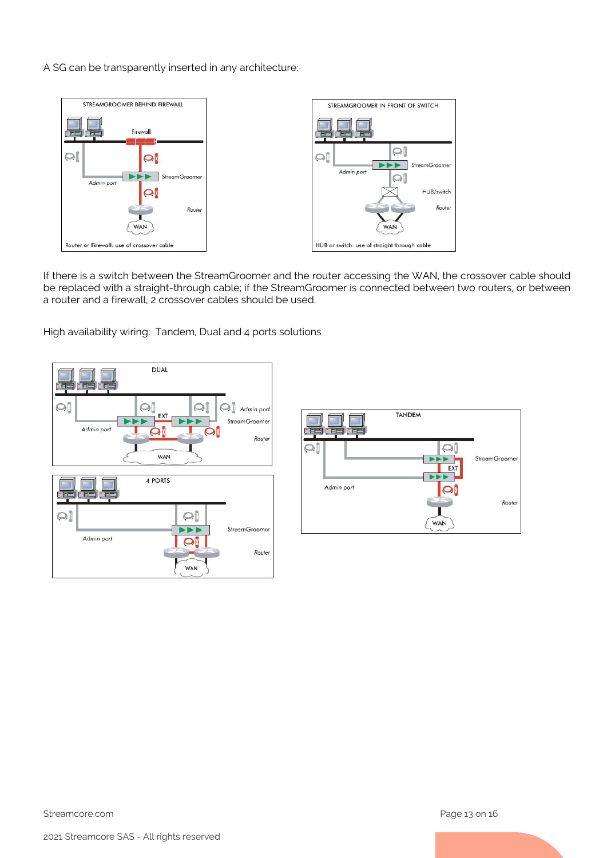A SG can be transparently inserted in any architecture:



If there is a switch between the StreamGroomer and the router accessing the WAN, the crossover cable should be replaced with a straight-through cable; if the StreamGroomer is connected between two routers, or between a router and a firewall, 2 crossover cables should be used.

High availability wiring: Tandem, Dual and 4 ports solutions



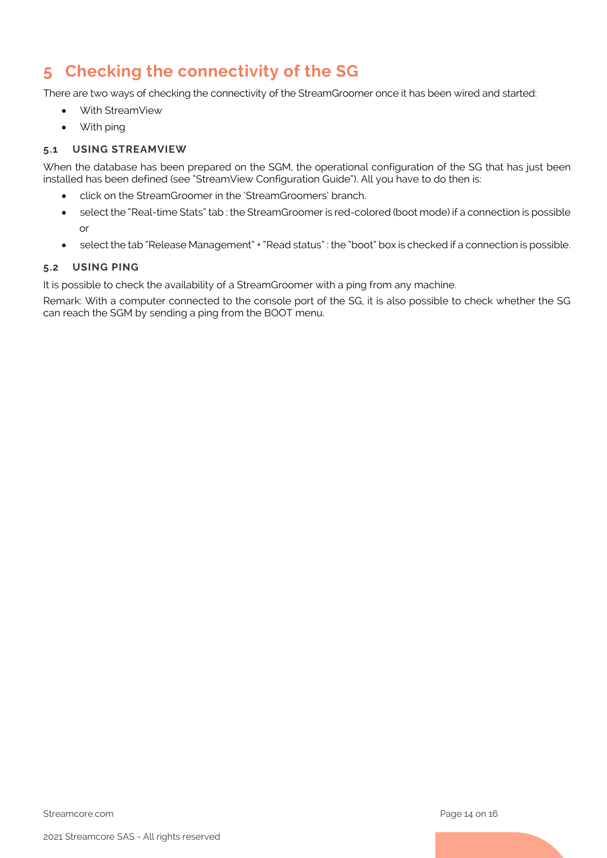## <span id="page-13-0"></span>**5 Checking the connectivity of the SG**

There are two ways of checking the connectivity of the StreamGroomer once it has been wired and started:

- With StreamView
- With ping

### <span id="page-13-1"></span>**5.1 USING STREAMVIEW**

When the database has been prepared on the SGM, the operational configuration of the SG that has just been installed has been defined (see "StreamView Configuration Guide"). All you have to do then is:

- click on the StreamGroomer in the 'StreamGroomers' branch.
- select the "Real-time Stats" tab : the StreamGroomer is red-colored (boot mode) if a connection is possible or
- select the tab "Release Management" + "Read status" : the "boot" box is checked if a connection is possible.

### <span id="page-13-2"></span>**5.2 USING PING**

It is possible to check the availability of a StreamGroomer with a ping from any machine.

Remark: With a computer connected to the console port of the SG, it is also possible to check whether the SG can reach the SGM by sending a ping from the BOOT menu.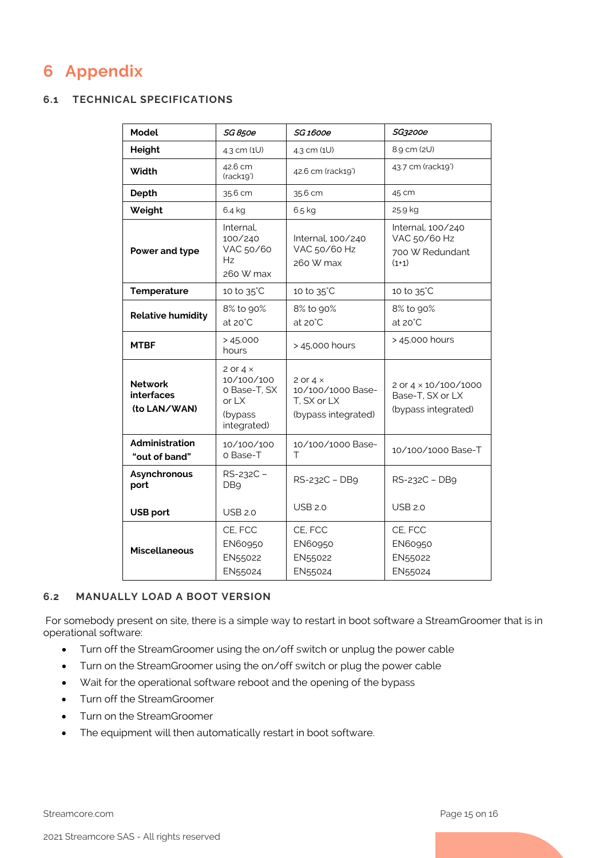## <span id="page-14-0"></span>**6 Appendix**

### <span id="page-14-1"></span>**6.1 TECHNICAL SPECIFICATIONS**

| <b>Model</b>                                        | SG 850e                                                                            | <i>SG1600e</i>                                                             | SG3200e                                                                |
|-----------------------------------------------------|------------------------------------------------------------------------------------|----------------------------------------------------------------------------|------------------------------------------------------------------------|
| <b>Height</b>                                       | 4.3 cm (1U)                                                                        | 4.3 cm (1U)                                                                | 8.9 cm (2U)                                                            |
| Width                                               | 42.6 cm<br>(rack19')                                                               | 42.6 cm (rack19')                                                          | 43.7 cm (rack19')                                                      |
| Depth                                               | 35.6 cm                                                                            | 35.6 cm                                                                    | 45 cm                                                                  |
| Weight                                              | 6.4 kg                                                                             | $6.5$ kg                                                                   | 25.9 kg                                                                |
| Power and type                                      | Internal.<br>100/240<br>VAC 50/60<br>Hz<br>260 W max                               | Internal, 100/240<br>VAC 50/60 Hz<br>260 W max                             | Internal, 100/240<br>VAC 50/60 Hz<br>700 W Redundant<br>$(1+1)$        |
| <b>Temperature</b>                                  | 10 to 35°C                                                                         | 10 to 35°C                                                                 | 10 to 35°C                                                             |
| <b>Relative humidity</b>                            | 8% to 90%<br>$at 20^{\circ}$ C                                                     | 8% to 90%<br>$at 20^{\circ}$ C                                             | 8% to 90%<br>$at 20^{\circ}$ C                                         |
| <b>MTBF</b>                                         | >45,000<br>hours                                                                   | > 45,000 hours                                                             | > 45,000 hours                                                         |
| <b>Network</b><br><b>interfaces</b><br>(to LAN/WAN) | 2 or 4 $\times$<br>10/100/100<br>o Base-T, SX<br>or $LX$<br>(bypass<br>integrated) | 2 or $4 \times$<br>10/100/1000 Base-<br>T. SX or LX<br>(bypass integrated) | 2 or $4 \times 10/100/1000$<br>Base-T, SX or LX<br>(bypass integrated) |
| Administration<br>"out of band"                     | 10/100/100<br>o Base-T                                                             | 10/100/1000 Base-<br>т                                                     | 10/100/1000 Base-T                                                     |
| Asynchronous<br>port                                | RS-232C -<br>DB <sub>9</sub>                                                       | RS-232C - DB9                                                              | RS-232C - DB9                                                          |
| <b>USB port</b>                                     | <b>USB 2.0</b>                                                                     | <b>USB 2.0</b>                                                             | <b>USB 2.0</b>                                                         |
| <b>Miscellaneous</b>                                | CE, FCC<br>EN60950<br>EN55022<br>EN55024                                           | CE, FCC<br><b>EN60950</b><br>EN55022<br>EN55024                            | CE, FCC<br><b>EN60950</b><br>EN55022<br>EN55024                        |

### <span id="page-14-2"></span>**6.2 MANUALLY LOAD A BOOT VERSION**

For somebody present on site, there is a simple way to restart in boot software a StreamGroomer that is in operational software:

- Turn off the StreamGroomer using the on/off switch or unplug the power cable
- Turn on the StreamGroomer using the on/off switch or plug the power cable
- Wait for the operational software reboot and the opening of the bypass
- Turn off the StreamGroomer
- Turn on the StreamGroomer
- The equipment will then automatically restart in boot software.

Streamcore.com **Page 15 on 16**